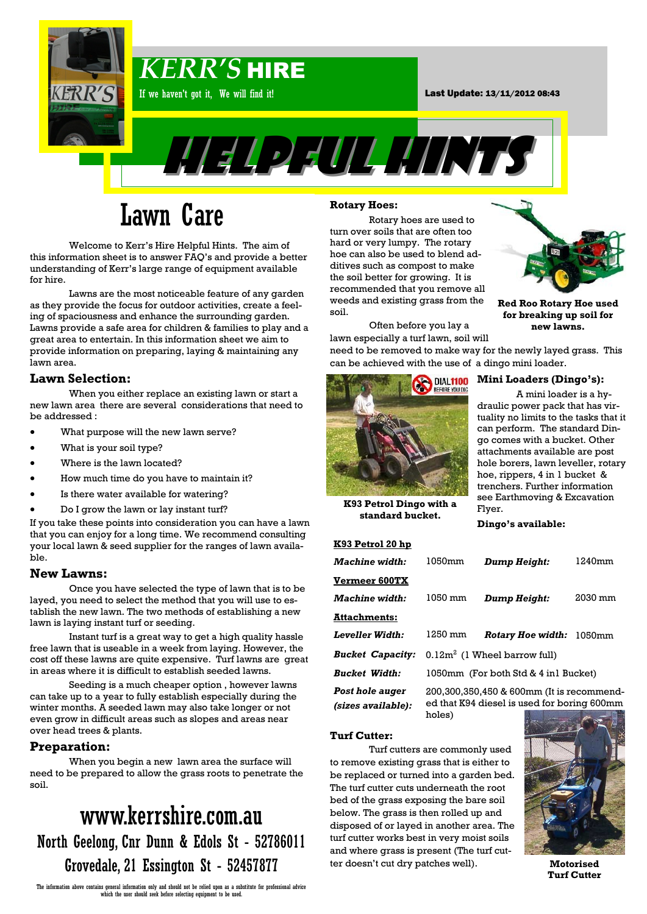

# Lawn Care

Welcome to Kerr's Hire Helpful Hints. The aim of this information sheet is to answer FAQ's and provide a better understanding of Kerr's large range of equipment available for hire.

Lawns are the most noticeable feature of any garden as they provide the focus for outdoor activities, create a feeling of spaciousness and enhance the surrounding garden. Lawns provide a safe area for children & families to play and a great area to entertain. In this information sheet we aim to provide information on preparing, laying & maintaining any lawn area.

### **Lawn Selection:**

When you either replace an existing lawn or start a new lawn area there are several considerations that need to be addressed :

- What purpose will the new lawn serve?
- What is your soil type?
- Where is the lawn located?
- How much time do you have to maintain it?
- Is there water available for watering?
- Do I grow the lawn or lay instant turf?

If you take these points into consideration you can have a lawn that you can enjoy for a long time. We recommend consulting your local lawn & seed supplier for the ranges of lawn available.

#### **New Lawns:**

Once you have selected the type of lawn that is to be layed, you need to select the method that you will use to establish the new lawn. The two methods of establishing a new lawn is laying instant turf or seeding.

Instant turf is a great way to get a high quality hassle free lawn that is useable in a week from laying. However, the cost off these lawns are quite expensive. Turf lawns are great in areas where it is difficult to establish seeded lawns.

Seeding is a much cheaper option , however lawns can take up to a year to fully establish especially during the winter months. A seeded lawn may also take longer or not even grow in difficult areas such as slopes and areas near over head trees & plants.

#### **Preparation:**

When you begin a new lawn area the surface will need to be prepared to allow the grass roots to penetrate the soil.

# www.kerrshire.com.au North Geelong, Cnr Dunn & Edols St - 52786011 Grovedale, 21 Essington St - 52457877

#### The information above contains general information only and should not be relied upon as a substitute for professional advice which the user should seek before selecting equipment to be used.

#### **Rotary Hoes:**

Rotary hoes are used to turn over soils that are often too hard or very lumpy. The rotary hoe can also be used to blend additives such as compost to make the soil better for growing. It is recommended that you remove all weeds and existing grass from the soil.

Often before you lay a lawn especially a turf lawn, soil will

need to be removed to make way for the newly layed grass. This can be achieved with the use of a dingo mini loader.



### **Mini Loaders (Dingo's):**

**Red Roo Rotary Hoe used for breaking up soil for new lawns.**

A mini loader is a hydraulic power pack that has virtuality no limits to the tasks that it can perform. The standard Dingo comes with a bucket. Other attachments available are post hole borers, lawn leveller, rotary hoe, rippers, 4 in 1 bucket & trenchers. Further information see Earthmoving & Excavation Flyer.

**K93 Petrol Dingo with a standard bucket.**

#### **K93 Petrol 20 hp**

| <b>Machine</b> width:                 | 1050mm                                                                                   | Dump Height:                    | 1240mm  |
|---------------------------------------|------------------------------------------------------------------------------------------|---------------------------------|---------|
| <b>Vermeer 600TX</b>                  |                                                                                          |                                 |         |
| <i><b>Machine width:</b></i>          | 1050 mm                                                                                  | Dump Height:                    | 2030 mm |
| <b>Attachments:</b>                   |                                                                                          |                                 |         |
| Leveller Width:                       | 1250 mm                                                                                  | <b>Rotary Hoe width:</b> 1050mm |         |
| <b>Bucket Capacity:</b>               | $0.12m2$ (1 Wheel barrow full)                                                           |                                 |         |
| <b>Bucket Width:</b>                  | 1050mm (For both Std & 4 in1 Bucket)                                                     |                                 |         |
| Post hole auger<br>(sizes available): | 200,300,350,450 & 600mm (It is recommend-<br>ed that K94 diesel is used for boring 600mm |                                 |         |

ed that K94 diesel is used for boring 600mm holes)

**Dingo's available:**

#### **Turf Cutter:**

Turf cutters are commonly used to remove existing grass that is either to be replaced or turned into a garden bed. The turf cutter cuts underneath the root bed of the grass exposing the bare soil below. The grass is then rolled up and disposed of or layed in another area. The turf cutter works best in very moist soils and where grass is present (The turf cutter doesn't cut dry patches well).



**Motorised Turf Cutter**